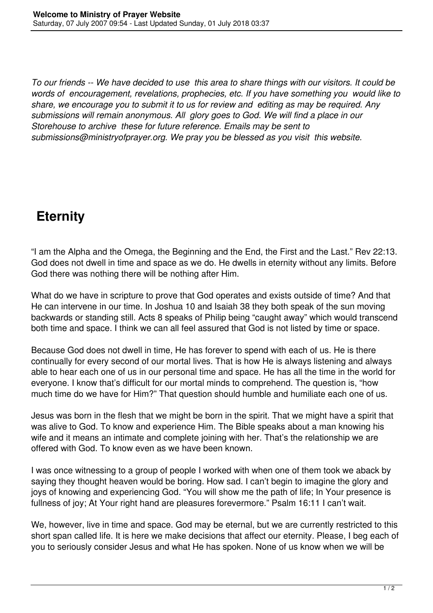*To our friends -- We have decided to use this area to share things with our visitors. It could be words of encouragement, revelations, prophecies, etc. If you have something you would like to share, we encourage you to submit it to us for review and editing as may be required. Any submissions will remain anonymous. All glory goes to God. We will find a place in our Storehouse to archive these for future reference. Emails may be sent to submissions@ministryofprayer.org. We pray you be blessed as you visit this website.*

## **Eternity**

"I am the Alpha and the Omega, the Beginning and the End, the First and the Last." Rev 22:13. God does not dwell in time and space as we do. He dwells in eternity without any limits. Before God there was nothing there will be nothing after Him.

What do we have in scripture to prove that God operates and exists outside of time? And that He can intervene in our time. In Joshua 10 and Isaiah 38 they both speak of the sun moving backwards or standing still. Acts 8 speaks of Philip being "caught away" which would transcend both time and space. I think we can all feel assured that God is not listed by time or space.

Because God does not dwell in time, He has forever to spend with each of us. He is there continually for every second of our mortal lives. That is how He is always listening and always able to hear each one of us in our personal time and space. He has all the time in the world for everyone. I know that's difficult for our mortal minds to comprehend. The question is, "how much time do we have for Him?" That question should humble and humiliate each one of us.

Jesus was born in the flesh that we might be born in the spirit. That we might have a spirit that was alive to God. To know and experience Him. The Bible speaks about a man knowing his wife and it means an intimate and complete joining with her. That's the relationship we are offered with God. To know even as we have been known.

I was once witnessing to a group of people I worked with when one of them took we aback by saying they thought heaven would be boring. How sad. I can't begin to imagine the glory and joys of knowing and experiencing God. "You will show me the path of life; In Your presence is fullness of joy; At Your right hand are pleasures forevermore." Psalm 16:11 I can't wait.

We, however, live in time and space. God may be eternal, but we are currently restricted to this short span called life. It is here we make decisions that affect our eternity. Please, I beg each of you to seriously consider Jesus and what He has spoken. None of us know when we will be